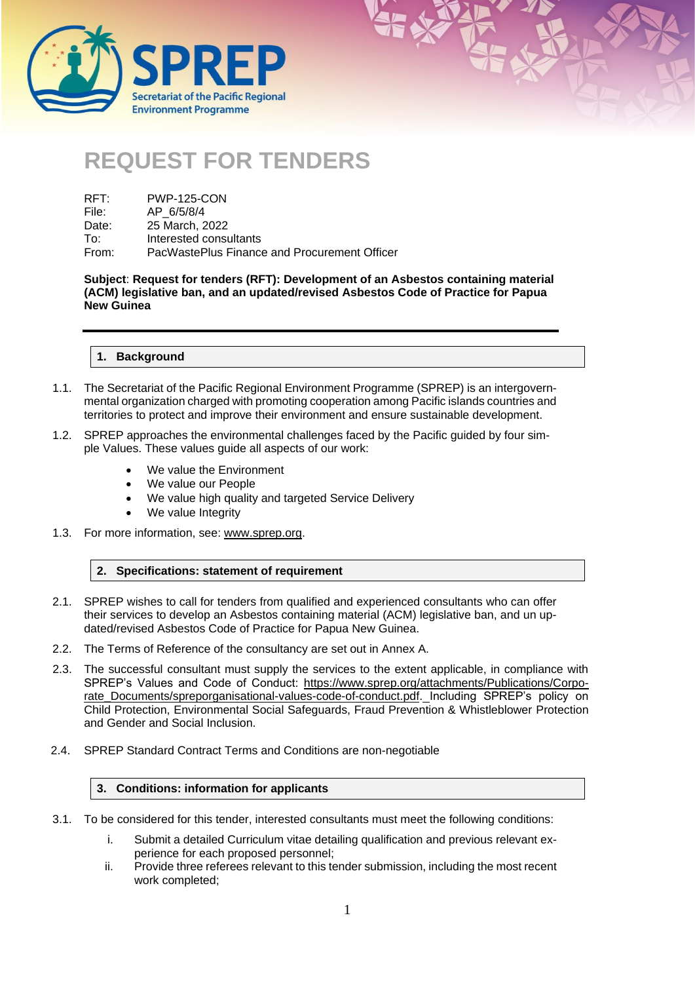



| RFT:  | <b>PWP-125-CON</b>                           |
|-------|----------------------------------------------|
| File: | AP 6/5/8/4                                   |
| Date: | 25 March, 2022                               |
| To:   | Interested consultants                       |
| From: | PacWastePlus Finance and Procurement Officer |

**Subject**: **Request for tenders (RFT): Development of an Asbestos containing material (ACM) legislative ban, and an updated/revised Asbestos Code of Practice for Papua New Guinea**

# **1. Background**

- 1.1. The Secretariat of the Pacific Regional Environment Programme (SPREP) is an intergovernmental organization charged with promoting cooperation among Pacific islands countries and territories to protect and improve their environment and ensure sustainable development.
- 1.2. SPREP approaches the environmental challenges faced by the Pacific guided by four simple Values. These values guide all aspects of our work:
	- We value the Environment
	- We value our People
	- We value high quality and targeted Service Delivery
	- We value Integrity
- 1.3. For more information, see: [www.sprep.org.](http://www.sprep.org/)

# **2. Specifications: statement of requirement**

- 2.1. SPREP wishes to call for tenders from qualified and experienced consultants who can offer their services to develop an Asbestos containing material (ACM) legislative ban, and un updated/revised Asbestos Code of Practice for Papua New Guinea.
- 2.2. The Terms of Reference of the consultancy are set out in Annex A.
- 2.3. The successful consultant must supply the services to the extent applicable, in compliance with SPREP's Values and Code of Conduct: [https://www.sprep.org/attachments/Publications/Corpo](https://www.sprep.org/attachments/Publications/Corporate_Documents/spreporganisational-values-code-of-conduct.pdf)[rate\\_Documents/spreporganisational-values-code-of-conduct.pdf.](https://www.sprep.org/attachments/Publications/Corporate_Documents/spreporganisational-values-code-of-conduct.pdf) Including SPREP's policy on Child Protection, Environmental Social Safeguards, Fraud Prevention & Whistleblower Protection and Gender and Social Inclusion.
- 2.4. SPREP Standard Contract Terms and Conditions are non-negotiable

### **3. Conditions: information for applicants**

- 3.1. To be considered for this tender, interested consultants must meet the following conditions:
	- i. Submit a detailed Curriculum vitae detailing qualification and previous relevant experience for each proposed personnel;
	- ii. Provide three referees relevant to this tender submission, including the most recent work completed;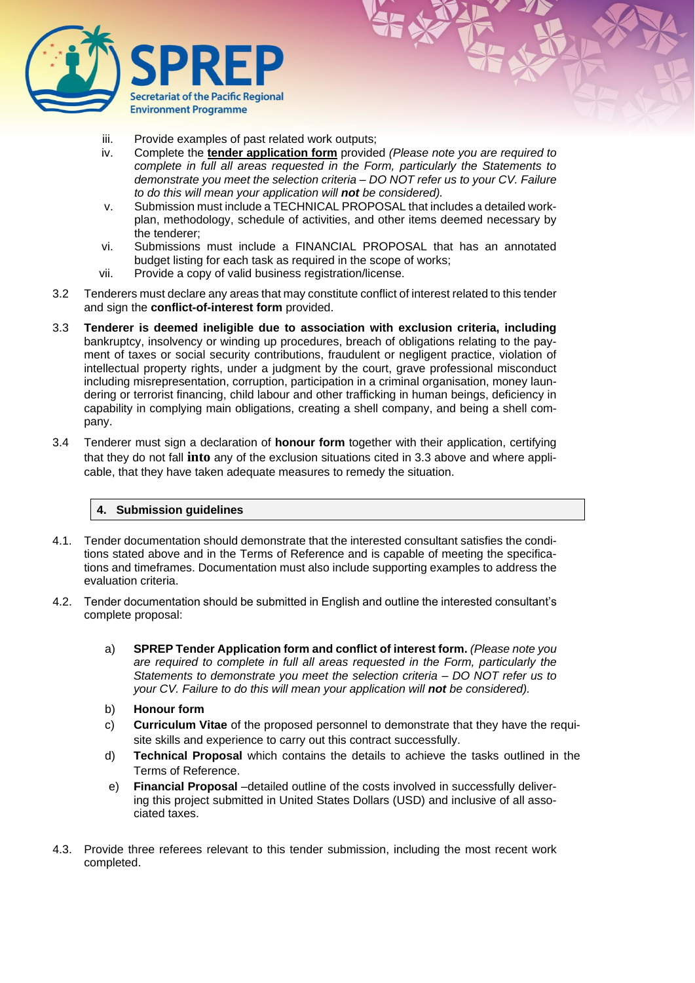

- iii. Provide examples of past related work outputs;
- iv. Complete the **tender application form** provided *(Please note you are required to complete in full all areas requested in the Form, particularly the Statements to demonstrate you meet the selection criteria – DO NOT refer us to your CV. Failure to do this will mean your application will not be considered).*
- v. Submission must include a TECHNICAL PROPOSAL that includes a detailed workplan, methodology, schedule of activities, and other items deemed necessary by the tenderer;
- vi. Submissions must include a FINANCIAL PROPOSAL that has an annotated budget listing for each task as required in the scope of works;
- vii. Provide a copy of valid business registration/license.
- 3.2 Tenderers must declare any areas that may constitute conflict of interest related to this tender and sign the **conflict-of-interest form** provided.
- 3.3 **Tenderer is deemed ineligible due to association with exclusion criteria, including**  bankruptcy, insolvency or winding up procedures, breach of obligations relating to the payment of taxes or social security contributions, fraudulent or negligent practice, violation of intellectual property rights, under a judgment by the court, grave professional misconduct including misrepresentation, corruption, participation in a criminal organisation, money laundering or terrorist financing, child labour and other trafficking in human beings, deficiency in capability in complying main obligations, creating a shell company, and being a shell company.
- 3.4 Tenderer must sign a declaration of **honour form** together with their application, certifying that they do not fall **into** any of the exclusion situations cited in 3.3 above and where applicable, that they have taken adequate measures to remedy the situation.

# **4. Submission guidelines**

- 4.1. Tender documentation should demonstrate that the interested consultant satisfies the conditions stated above and in the Terms of Reference and is capable of meeting the specifications and timeframes. Documentation must also include supporting examples to address the evaluation criteria.
- 4.2. Tender documentation should be submitted in English and outline the interested consultant's complete proposal:
	- a) **SPREP Tender Application form and conflict of interest form.** *(Please note you are required to complete in full all areas requested in the Form, particularly the Statements to demonstrate you meet the selection criteria – DO NOT refer us to your CV. Failure to do this will mean your application will not be considered).*
	- b) **Honour form**
	- c) **Curriculum Vitae** of the proposed personnel to demonstrate that they have the requisite skills and experience to carry out this contract successfully.
	- d) **Technical Proposal** which contains the details to achieve the tasks outlined in the Terms of Reference.
	- e) **Financial Proposal** –detailed outline of the costs involved in successfully delivering this project submitted in United States Dollars (USD) and inclusive of all associated taxes.
- 4.3. Provide three referees relevant to this tender submission, including the most recent work completed.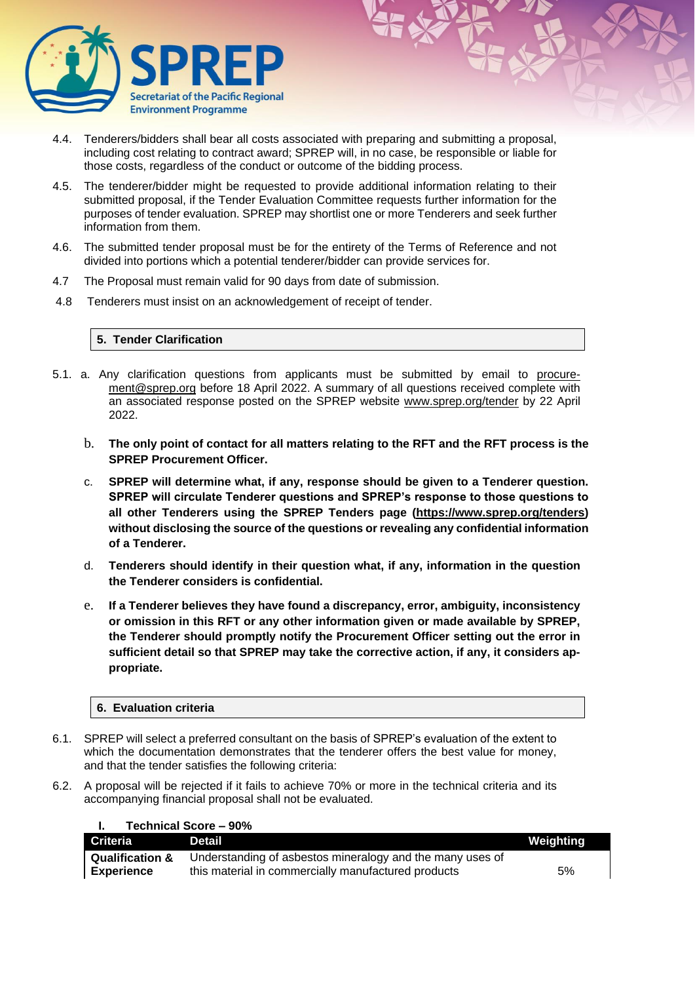

- 4.4. Tenderers/bidders shall bear all costs associated with preparing and submitting a proposal, including cost relating to contract award; SPREP will, in no case, be responsible or liable for those costs, regardless of the conduct or outcome of the bidding process.
- 4.5. The tenderer/bidder might be requested to provide additional information relating to their submitted proposal, if the Tender Evaluation Committee requests further information for the purposes of tender evaluation. SPREP may shortlist one or more Tenderers and seek further information from them.
- 4.6. The submitted tender proposal must be for the entirety of the Terms of Reference and not divided into portions which a potential tenderer/bidder can provide services for.
- 4.7 The Proposal must remain valid for 90 days from date of submission.
- 4.8 Tenderers must insist on an acknowledgement of receipt of tender.

# **5. Tender Clarification**

- 5.1. a. Any clarification questions from applicants must be submitted by email to [procure](mailto:procurement@sprep.org)[ment@sprep.org](mailto:procurement@sprep.org) before 18 April 2022. A summary of all questions received complete with an associated response posted on the SPREP website [www.sprep.org/tender](http://www.sprep.org/tender) by 22 April 2022.
	- b. **The only point of contact for all matters relating to the RFT and the RFT process is the SPREP Procurement Officer.**
	- c. **SPREP will determine what, if any, response should be given to a Tenderer question. SPREP will circulate Tenderer questions and SPREP's response to those questions to all other Tenderers using the SPREP Tenders page [\(https://www.sprep.org/tenders\)](https://www.sprep.org/tenders) without disclosing the source of the questions or revealing any confidential information of a Tenderer.**
	- d. **Tenderers should identify in their question what, if any, information in the question the Tenderer considers is confidential.**
	- e. **If a Tenderer believes they have found a discrepancy, error, ambiguity, inconsistency or omission in this RFT or any other information given or made available by SPREP, the Tenderer should promptly notify the Procurement Officer setting out the error in sufficient detail so that SPREP may take the corrective action, if any, it considers appropriate.**

## **6. Evaluation criteria**

**I. Technical Score – 90%** 

- 6.1. SPREP will select a preferred consultant on the basis of SPREP's evaluation of the extent to which the documentation demonstrates that the tenderer offers the best value for money, and that the tender satisfies the following criteria:
- 6.2. A proposal will be rejected if it fails to achieve 70% or more in the technical criteria and its accompanying financial proposal shall not be evaluated.

|                                                                                                                                                                                                                                                  | $T$ of the state of $T$ of $T$ $\sim$ $T$ $\sim$ $T$ $\sim$ $T$ $\sim$                                           |           |
|--------------------------------------------------------------------------------------------------------------------------------------------------------------------------------------------------------------------------------------------------|------------------------------------------------------------------------------------------------------------------|-----------|
| Criteria<br><u>the contract of the contract of the contract of the contract of the contract of the contract of the contract of the contract of the contract of the contract of the contract of the contract of the contract of the contract </u> | Detail                                                                                                           | Weighting |
| <b>Qualification &amp;</b><br>Experience                                                                                                                                                                                                         | Understanding of asbestos mineralogy and the many uses of<br>this material in commercially manufactured products | 5%        |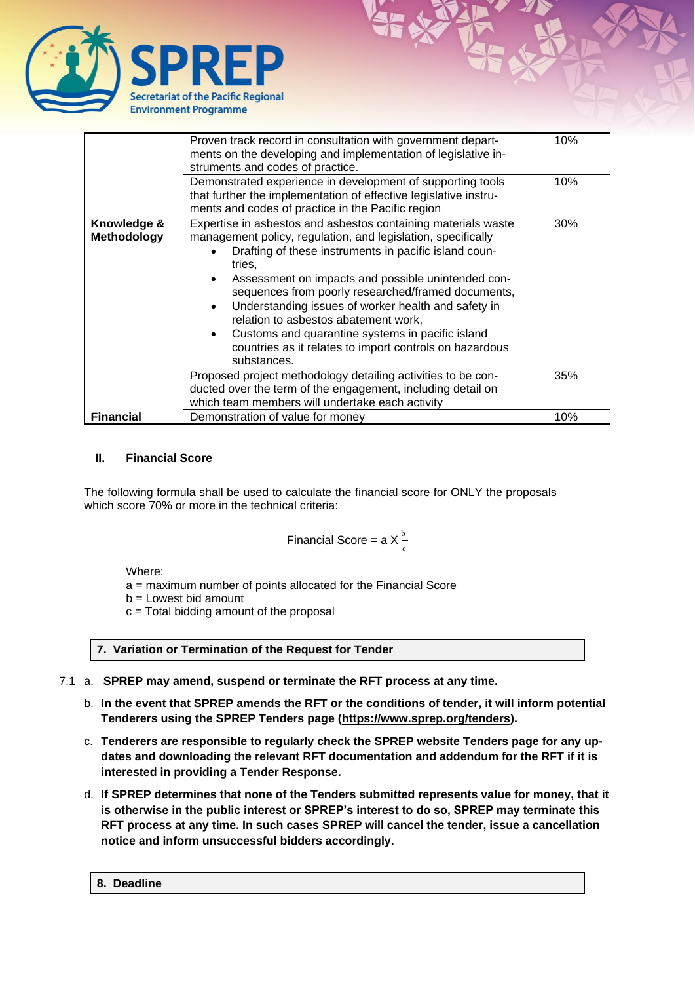

|                                   | Proven track record in consultation with government depart-<br>ments on the developing and implementation of legislative in-<br>struments and codes of practice.                                                                                                                                                                                                                                                                                                                                                                                                    | 10% |
|-----------------------------------|---------------------------------------------------------------------------------------------------------------------------------------------------------------------------------------------------------------------------------------------------------------------------------------------------------------------------------------------------------------------------------------------------------------------------------------------------------------------------------------------------------------------------------------------------------------------|-----|
|                                   | Demonstrated experience in development of supporting tools<br>that further the implementation of effective legislative instru-<br>ments and codes of practice in the Pacific region                                                                                                                                                                                                                                                                                                                                                                                 | 10% |
| Knowledge &<br><b>Methodology</b> | Expertise in asbestos and asbestos containing materials waste<br>management policy, regulation, and legislation, specifically<br>Drafting of these instruments in pacific island coun-<br>tries.<br>Assessment on impacts and possible unintended con-<br>sequences from poorly researched/framed documents,<br>Understanding issues of worker health and safety in<br>$\bullet$<br>relation to asbestos abatement work,<br>Customs and quarantine systems in pacific island<br>$\bullet$<br>countries as it relates to import controls on hazardous<br>substances. | 30% |
|                                   | Proposed project methodology detailing activities to be con-<br>ducted over the term of the engagement, including detail on<br>which team members will undertake each activity                                                                                                                                                                                                                                                                                                                                                                                      | 35% |
| <b>Financial</b>                  | Demonstration of value for money                                                                                                                                                                                                                                                                                                                                                                                                                                                                                                                                    | 10% |

# **II. Financial Score**

The following formula shall be used to calculate the financial score for ONLY the proposals which score 70% or more in the technical criteria:

Financial Score = a X 
$$
\frac{b}{c}
$$

Where:

a = maximum number of points allocated for the Financial Score

 $b =$  Lowest bid amount

 $c =$  Total bidding amount of the proposal

**7. Variation or Termination of the Request for Tender**

- 7.1 a. **SPREP may amend, suspend or terminate the RFT process at any time.**
	- b. **In the event that SPREP amends the RFT or the conditions of tender, it will inform potential Tenderers using the SPREP Tenders page [\(https://www.sprep.org/tenders\)](https://www.sprep.org/tenders).**
	- c. **Tenderers are responsible to regularly check the SPREP website Tenders page for any updates and downloading the relevant RFT documentation and addendum for the RFT if it is interested in providing a Tender Response.**
	- d. **If SPREP determines that none of the Tenders submitted represents value for money, that it is otherwise in the public interest or SPREP's interest to do so, SPREP may terminate this RFT process at any time. In such cases SPREP will cancel the tender, issue a cancellation notice and inform unsuccessful bidders accordingly.**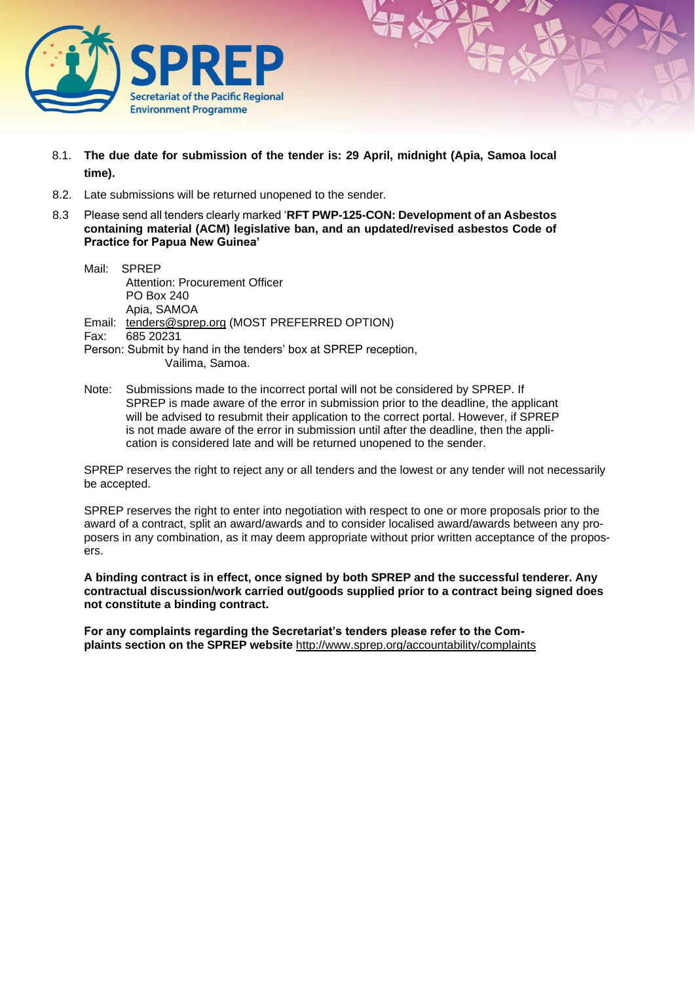

- 8.1. **The due date for submission of the tender is: 29 April, midnight (Apia, Samoa local time).**
- 8.2. Late submissions will be returned unopened to the sender.
- 8.3 Please send all tenders clearly marked '**RFT PWP-125-CON: Development of an Asbestos containing material (ACM) legislative ban, and an updated/revised asbestos Code of Practice for Papua New Guinea'**
	- Mail: SPREP Attention: Procurement Officer PO Box 240 Apia, SAMOA Email: [tenders@sprep.org](mailto:tenders@sprep.org) (MOST PREFERRED OPTION) Fax: 685 20231 Person: Submit by hand in the tenders' box at SPREP reception, Vailima, Samoa.
	- Note: Submissions made to the incorrect portal will not be considered by SPREP. If SPREP is made aware of the error in submission prior to the deadline, the applicant will be advised to resubmit their application to the correct portal. However, if SPREP is not made aware of the error in submission until after the deadline, then the application is considered late and will be returned unopened to the sender.

SPREP reserves the right to reject any or all tenders and the lowest or any tender will not necessarily be accepted.

SPREP reserves the right to enter into negotiation with respect to one or more proposals prior to the award of a contract, split an award/awards and to consider localised award/awards between any proposers in any combination, as it may deem appropriate without prior written acceptance of the proposers.

**A binding contract is in effect, once signed by both SPREP and the successful tenderer. Any contractual discussion/work carried out/goods supplied prior to a contract being signed does not constitute a binding contract.** 

**For any complaints regarding the Secretariat's tenders please refer to the Complaints section on the SPREP website** <http://www.sprep.org/accountability/complaints>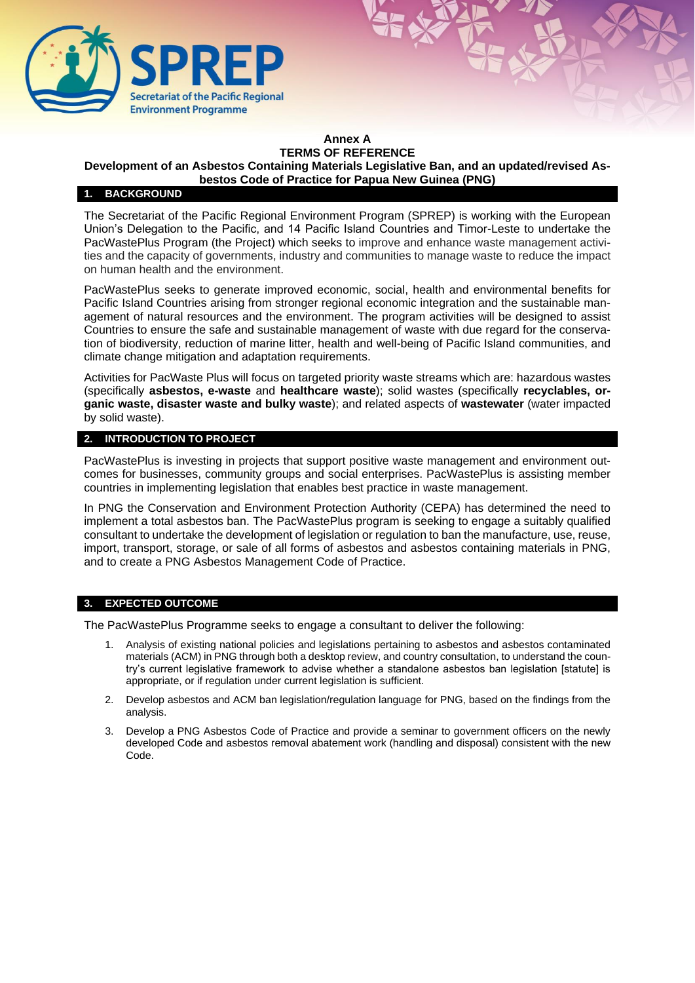

### **Annex A TERMS OF REFERENCE**

# **Development of an Asbestos Containing Materials Legislative Ban, and an updated/revised As-**

**bestos Code of Practice for Papua New Guinea (PNG)** 

# **1. BACKGROUND**

The Secretariat of the Pacific Regional Environment Program (SPREP) is working with the European Union's Delegation to the Pacific, and 14 Pacific Island Countries and Timor-Leste to undertake the PacWastePlus Program (the Project) which seeks to improve and enhance waste management activities and the capacity of governments, industry and communities to manage waste to reduce the impact on human health and the environment.

PacWastePlus seeks to generate improved economic, social, health and environmental benefits for Pacific Island Countries arising from stronger regional economic integration and the sustainable management of natural resources and the environment. The program activities will be designed to assist Countries to ensure the safe and sustainable management of waste with due regard for the conservation of biodiversity, reduction of marine litter, health and well-being of Pacific Island communities, and climate change mitigation and adaptation requirements.

Activities for PacWaste Plus will focus on targeted priority waste streams which are: hazardous wastes (specifically **asbestos, e-waste** and **healthcare waste**); solid wastes (specifically **recyclables, organic waste, disaster waste and bulky waste**); and related aspects of **wastewater** (water impacted by solid waste).

## **2. INTRODUCTION TO PROJECT**

PacWastePlus is investing in projects that support positive waste management and environment outcomes for businesses, community groups and social enterprises. PacWastePlus is assisting member countries in implementing legislation that enables best practice in waste management.

In PNG the Conservation and Environment Protection Authority (CEPA) has determined the need to implement a total asbestos ban. The PacWastePlus program is seeking to engage a suitably qualified consultant to undertake the development of legislation or regulation to ban the manufacture, use, reuse, import, transport, storage, or sale of all forms of asbestos and asbestos containing materials in PNG, and to create a PNG Asbestos Management Code of Practice.

## **3. EXPECTED OUTCOME**

The PacWastePlus Programme seeks to engage a consultant to deliver the following:

- 1. Analysis of existing national policies and legislations pertaining to asbestos and asbestos contaminated materials (ACM) in PNG through both a desktop review, and country consultation, to understand the country's current legislative framework to advise whether a standalone asbestos ban legislation [statute] is appropriate, or if regulation under current legislation is sufficient.
- 2. Develop asbestos and ACM ban legislation/regulation language for PNG, based on the findings from the analysis.
- 3. Develop a PNG Asbestos Code of Practice and provide a seminar to government officers on the newly developed Code and asbestos removal abatement work (handling and disposal) consistent with the new Code.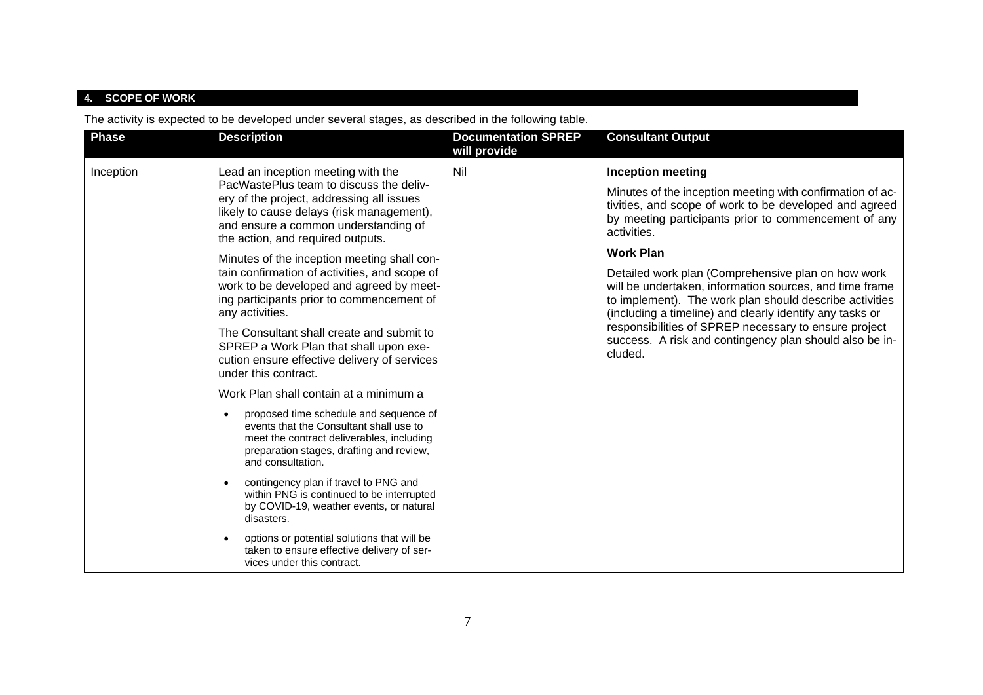# **4. SCOPE OF WORK**

The activity is expected to be developed under several stages, as described in the following table.

| <b>Phase</b> | <b>Description</b>                                                                                                                                                                                             | <b>Documentation SPREP</b><br>will provide | <b>Consultant Output</b>                                                                                                                                                                                                             |
|--------------|----------------------------------------------------------------------------------------------------------------------------------------------------------------------------------------------------------------|--------------------------------------------|--------------------------------------------------------------------------------------------------------------------------------------------------------------------------------------------------------------------------------------|
| Inception    | Lead an inception meeting with the                                                                                                                                                                             | Nil                                        | <b>Inception meeting</b>                                                                                                                                                                                                             |
|              | PacWastePlus team to discuss the deliv-<br>ery of the project, addressing all issues<br>likely to cause delays (risk management),<br>and ensure a common understanding of<br>the action, and required outputs. |                                            | Minutes of the inception meeting with confirmation of ac-<br>tivities, and scope of work to be developed and agreed<br>by meeting participants prior to commencement of any<br>activities.                                           |
|              | Minutes of the inception meeting shall con-                                                                                                                                                                    |                                            | <b>Work Plan</b>                                                                                                                                                                                                                     |
|              | tain confirmation of activities, and scope of<br>work to be developed and agreed by meet-<br>ing participants prior to commencement of<br>any activities.                                                      |                                            | Detailed work plan (Comprehensive plan on how work<br>will be undertaken, information sources, and time frame<br>to implement). The work plan should describe activities<br>(including a timeline) and clearly identify any tasks or |
|              | The Consultant shall create and submit to<br>SPREP a Work Plan that shall upon exe-<br>cution ensure effective delivery of services<br>under this contract.                                                    |                                            | responsibilities of SPREP necessary to ensure project<br>success. A risk and contingency plan should also be in-<br>cluded.                                                                                                          |
|              | Work Plan shall contain at a minimum a                                                                                                                                                                         |                                            |                                                                                                                                                                                                                                      |
|              | proposed time schedule and sequence of<br>events that the Consultant shall use to<br>meet the contract deliverables, including<br>preparation stages, drafting and review,<br>and consultation.                |                                            |                                                                                                                                                                                                                                      |
|              | contingency plan if travel to PNG and<br>within PNG is continued to be interrupted<br>by COVID-19, weather events, or natural<br>disasters.                                                                    |                                            |                                                                                                                                                                                                                                      |
|              | options or potential solutions that will be<br>taken to ensure effective delivery of ser-<br>vices under this contract.                                                                                        |                                            |                                                                                                                                                                                                                                      |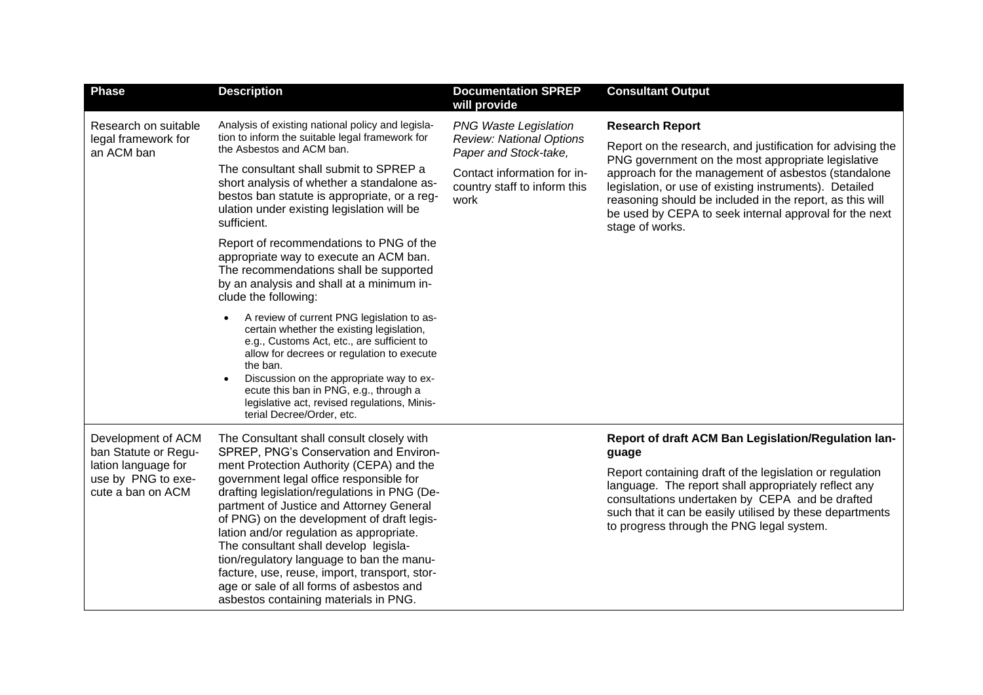| <b>Phase</b>                                                   | <b>Description</b>                                                                                                                                                                                                                                                                                                                                                                                                                                                                                    | <b>Documentation SPREP</b><br>will provide                                                                                                                      | <b>Consultant Output</b>                                                                                                                                                                                                                                                                                                                                                          |
|----------------------------------------------------------------|-------------------------------------------------------------------------------------------------------------------------------------------------------------------------------------------------------------------------------------------------------------------------------------------------------------------------------------------------------------------------------------------------------------------------------------------------------------------------------------------------------|-----------------------------------------------------------------------------------------------------------------------------------------------------------------|-----------------------------------------------------------------------------------------------------------------------------------------------------------------------------------------------------------------------------------------------------------------------------------------------------------------------------------------------------------------------------------|
| Research on suitable<br>legal framework for<br>an ACM ban      | Analysis of existing national policy and legisla-<br>tion to inform the suitable legal framework for<br>the Asbestos and ACM ban.<br>The consultant shall submit to SPREP a<br>short analysis of whether a standalone as-<br>bestos ban statute is appropriate, or a reg-<br>ulation under existing legislation will be                                                                                                                                                                               | <b>PNG Waste Legislation</b><br><b>Review: National Options</b><br>Paper and Stock-take,<br>Contact information for in-<br>country staff to inform this<br>work | <b>Research Report</b><br>Report on the research, and justification for advising the<br>PNG government on the most appropriate legislative<br>approach for the management of asbestos (standalone<br>legislation, or use of existing instruments). Detailed<br>reasoning should be included in the report, as this will<br>be used by CEPA to seek internal approval for the next |
|                                                                | sufficient.<br>Report of recommendations to PNG of the<br>appropriate way to execute an ACM ban.<br>The recommendations shall be supported<br>by an analysis and shall at a minimum in-<br>clude the following:                                                                                                                                                                                                                                                                                       |                                                                                                                                                                 | stage of works.                                                                                                                                                                                                                                                                                                                                                                   |
|                                                                | A review of current PNG legislation to as-<br>certain whether the existing legislation,<br>e.g., Customs Act, etc., are sufficient to<br>allow for decrees or regulation to execute<br>the ban.<br>Discussion on the appropriate way to ex-<br>ecute this ban in PNG, e.g., through a<br>legislative act, revised regulations, Minis-<br>terial Decree/Order, etc.                                                                                                                                    |                                                                                                                                                                 |                                                                                                                                                                                                                                                                                                                                                                                   |
| Development of ACM<br>ban Statute or Regu-                     | The Consultant shall consult closely with<br>SPREP, PNG's Conservation and Environ-                                                                                                                                                                                                                                                                                                                                                                                                                   |                                                                                                                                                                 | Report of draft ACM Ban Legislation/Regulation lan-<br>guage                                                                                                                                                                                                                                                                                                                      |
| lation language for<br>use by PNG to exe-<br>cute a ban on ACM | ment Protection Authority (CEPA) and the<br>government legal office responsible for<br>drafting legislation/regulations in PNG (De-<br>partment of Justice and Attorney General<br>of PNG) on the development of draft legis-<br>lation and/or regulation as appropriate.<br>The consultant shall develop legisla-<br>tion/regulatory language to ban the manu-<br>facture, use, reuse, import, transport, stor-<br>age or sale of all forms of asbestos and<br>asbestos containing materials in PNG. |                                                                                                                                                                 | Report containing draft of the legislation or regulation<br>language. The report shall appropriately reflect any<br>consultations undertaken by CEPA and be drafted<br>such that it can be easily utilised by these departments<br>to progress through the PNG legal system.                                                                                                      |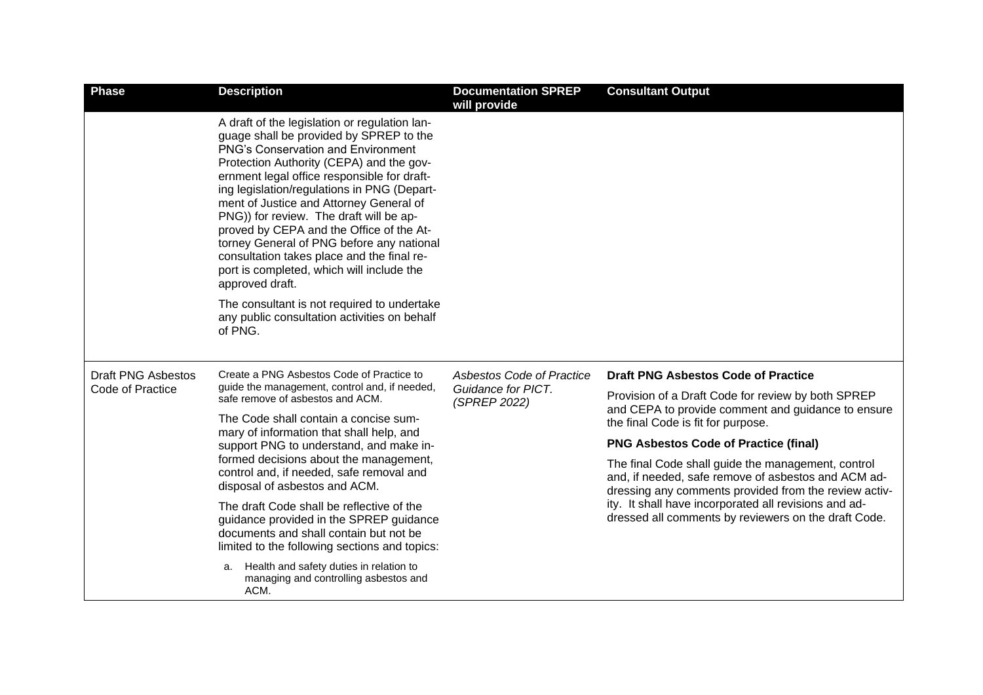| <b>Phase</b>                                  | <b>Description</b>                                                                                                                                                                                                                                                                                                                                                                                                                                                                                                                                                           | <b>Documentation SPREP</b><br>will provide                      | <b>Consultant Output</b>                                                                                                                                           |
|-----------------------------------------------|------------------------------------------------------------------------------------------------------------------------------------------------------------------------------------------------------------------------------------------------------------------------------------------------------------------------------------------------------------------------------------------------------------------------------------------------------------------------------------------------------------------------------------------------------------------------------|-----------------------------------------------------------------|--------------------------------------------------------------------------------------------------------------------------------------------------------------------|
|                                               | A draft of the legislation or regulation lan-<br>guage shall be provided by SPREP to the<br><b>PNG's Conservation and Environment</b><br>Protection Authority (CEPA) and the gov-<br>ernment legal office responsible for draft-<br>ing legislation/regulations in PNG (Depart-<br>ment of Justice and Attorney General of<br>PNG)) for review. The draft will be ap-<br>proved by CEPA and the Office of the At-<br>torney General of PNG before any national<br>consultation takes place and the final re-<br>port is completed, which will include the<br>approved draft. |                                                                 |                                                                                                                                                                    |
|                                               | The consultant is not required to undertake<br>any public consultation activities on behalf<br>of PNG.                                                                                                                                                                                                                                                                                                                                                                                                                                                                       |                                                                 |                                                                                                                                                                    |
| <b>Draft PNG Asbestos</b><br>Code of Practice | Create a PNG Asbestos Code of Practice to<br>guide the management, control and, if needed,<br>safe remove of asbestos and ACM.<br>The Code shall contain a concise sum-<br>mary of information that shall help, and<br>support PNG to understand, and make in-<br>formed decisions about the management,<br>control and, if needed, safe removal and<br>disposal of asbestos and ACM.                                                                                                                                                                                        | Asbestos Code of Practice<br>Guidance for PICT.<br>(SPREP 2022) | <b>Draft PNG Asbestos Code of Practice</b>                                                                                                                         |
|                                               |                                                                                                                                                                                                                                                                                                                                                                                                                                                                                                                                                                              |                                                                 | Provision of a Draft Code for review by both SPREP<br>and CEPA to provide comment and guidance to ensure                                                           |
|                                               |                                                                                                                                                                                                                                                                                                                                                                                                                                                                                                                                                                              |                                                                 | the final Code is fit for purpose.                                                                                                                                 |
|                                               |                                                                                                                                                                                                                                                                                                                                                                                                                                                                                                                                                                              |                                                                 | <b>PNG Asbestos Code of Practice (final)</b>                                                                                                                       |
|                                               |                                                                                                                                                                                                                                                                                                                                                                                                                                                                                                                                                                              |                                                                 | The final Code shall guide the management, control<br>and, if needed, safe remove of asbestos and ACM ad-<br>dressing any comments provided from the review activ- |
|                                               | The draft Code shall be reflective of the<br>guidance provided in the SPREP guidance<br>documents and shall contain but not be<br>limited to the following sections and topics:                                                                                                                                                                                                                                                                                                                                                                                              |                                                                 | ity. It shall have incorporated all revisions and ad-<br>dressed all comments by reviewers on the draft Code.                                                      |
|                                               | Health and safety duties in relation to<br>а.<br>managing and controlling asbestos and<br>ACM.                                                                                                                                                                                                                                                                                                                                                                                                                                                                               |                                                                 |                                                                                                                                                                    |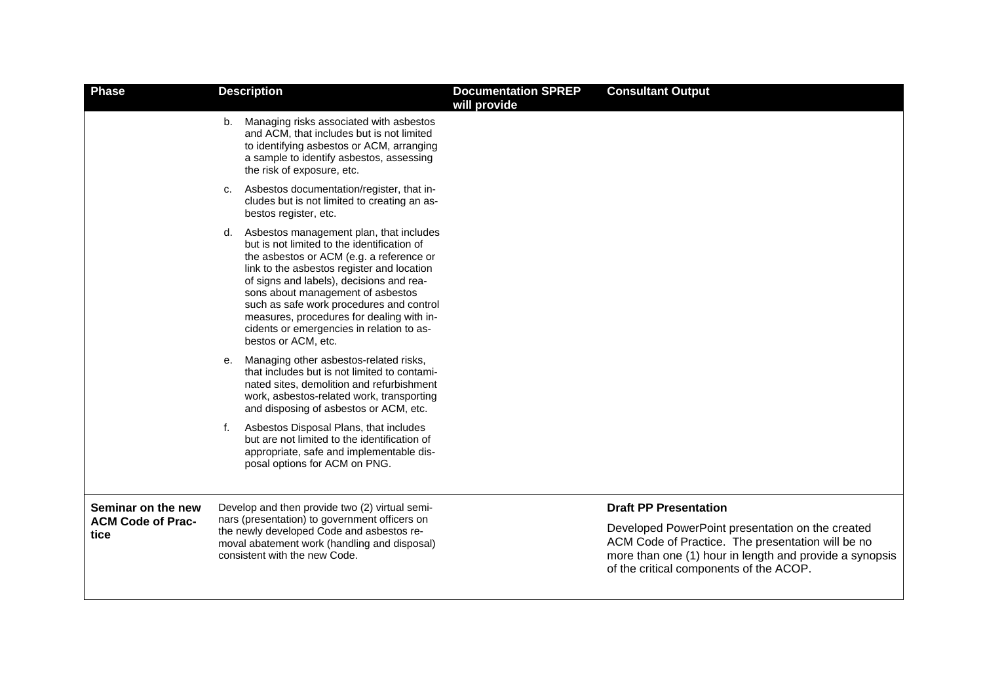| <b>Phase</b>                     |    | <b>Description</b>                                                                                                                                                                                                                                                                                                                                                                                                             | <b>Documentation SPREP</b><br>will provide | <b>Consultant Output</b>                                                                                                                                                                                    |
|----------------------------------|----|--------------------------------------------------------------------------------------------------------------------------------------------------------------------------------------------------------------------------------------------------------------------------------------------------------------------------------------------------------------------------------------------------------------------------------|--------------------------------------------|-------------------------------------------------------------------------------------------------------------------------------------------------------------------------------------------------------------|
|                                  | b. | Managing risks associated with asbestos<br>and ACM, that includes but is not limited<br>to identifying asbestos or ACM, arranging<br>a sample to identify asbestos, assessing<br>the risk of exposure, etc.                                                                                                                                                                                                                    |                                            |                                                                                                                                                                                                             |
|                                  | C. | Asbestos documentation/register, that in-<br>cludes but is not limited to creating an as-<br>bestos register, etc.                                                                                                                                                                                                                                                                                                             |                                            |                                                                                                                                                                                                             |
|                                  | d. | Asbestos management plan, that includes<br>but is not limited to the identification of<br>the asbestos or ACM (e.g. a reference or<br>link to the asbestos register and location<br>of signs and labels), decisions and rea-<br>sons about management of asbestos<br>such as safe work procedures and control<br>measures, procedures for dealing with in-<br>cidents or emergencies in relation to as-<br>bestos or ACM, etc. |                                            |                                                                                                                                                                                                             |
|                                  | е. | Managing other asbestos-related risks,<br>that includes but is not limited to contami-<br>nated sites, demolition and refurbishment<br>work, asbestos-related work, transporting<br>and disposing of asbestos or ACM, etc.                                                                                                                                                                                                     |                                            |                                                                                                                                                                                                             |
|                                  | f. | Asbestos Disposal Plans, that includes<br>but are not limited to the identification of<br>appropriate, safe and implementable dis-<br>posal options for ACM on PNG.                                                                                                                                                                                                                                                            |                                            |                                                                                                                                                                                                             |
| Seminar on the new               |    | Develop and then provide two (2) virtual semi-                                                                                                                                                                                                                                                                                                                                                                                 |                                            | <b>Draft PP Presentation</b>                                                                                                                                                                                |
| <b>ACM Code of Prac-</b><br>tice |    | nars (presentation) to government officers on<br>the newly developed Code and asbestos re-<br>moval abatement work (handling and disposal)<br>consistent with the new Code.                                                                                                                                                                                                                                                    |                                            | Developed PowerPoint presentation on the created<br>ACM Code of Practice. The presentation will be no<br>more than one (1) hour in length and provide a synopsis<br>of the critical components of the ACOP. |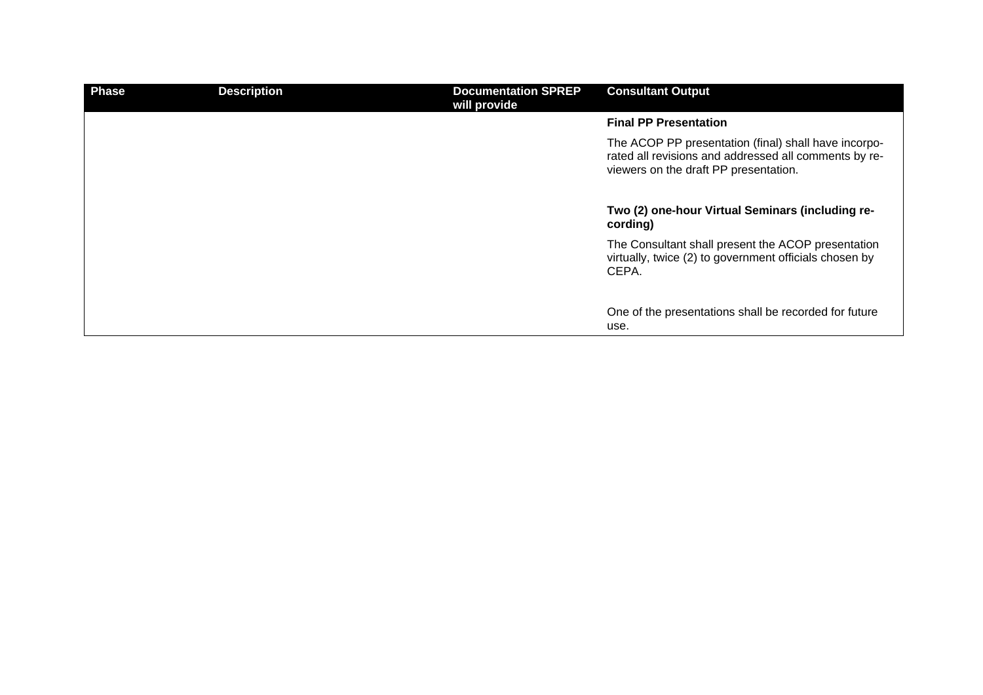| <b>Phase</b> | <b>Description</b> | <b>Documentation SPREP</b><br>will provide | <b>Consultant Output</b>                                                                                                                               |
|--------------|--------------------|--------------------------------------------|--------------------------------------------------------------------------------------------------------------------------------------------------------|
|              |                    |                                            | <b>Final PP Presentation</b>                                                                                                                           |
|              |                    |                                            | The ACOP PP presentation (final) shall have incorpo-<br>rated all revisions and addressed all comments by re-<br>viewers on the draft PP presentation. |
|              |                    |                                            | Two (2) one-hour Virtual Seminars (including re-<br>cording)                                                                                           |
|              |                    |                                            | The Consultant shall present the ACOP presentation<br>virtually, twice (2) to government officials chosen by<br>CEPA.                                  |
|              |                    |                                            | One of the presentations shall be recorded for future<br>use.                                                                                          |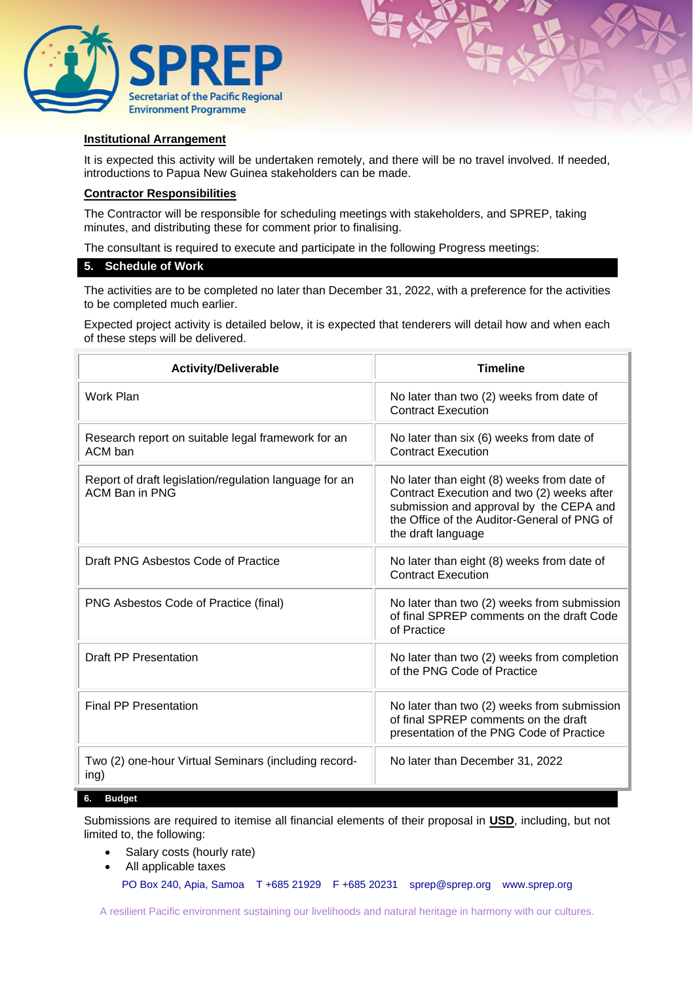



It is expected this activity will be undertaken remotely, and there will be no travel involved. If needed, introductions to Papua New Guinea stakeholders can be made.

# **Contractor Responsibilities**

The Contractor will be responsible for scheduling meetings with stakeholders, and SPREP, taking minutes, and distributing these for comment prior to finalising.

The consultant is required to execute and participate in the following Progress meetings:

### **5. Schedule of Work**

The activities are to be completed no later than December 31, 2022, with a preference for the activities to be completed much earlier.

Expected project activity is detailed below, it is expected that tenderers will detail how and when each of these steps will be delivered.

| <b>Activity/Deliverable</b>                                              | <b>Timeline</b>                                                                                                                                                                                          |  |
|--------------------------------------------------------------------------|----------------------------------------------------------------------------------------------------------------------------------------------------------------------------------------------------------|--|
| Work Plan                                                                | No later than two (2) weeks from date of<br><b>Contract Execution</b>                                                                                                                                    |  |
| Research report on suitable legal framework for an<br>ACM ban            | No later than six (6) weeks from date of<br><b>Contract Execution</b>                                                                                                                                    |  |
| Report of draft legislation/regulation language for an<br>ACM Ban in PNG | No later than eight (8) weeks from date of<br>Contract Execution and two (2) weeks after<br>submission and approval by the CEPA and<br>the Office of the Auditor-General of PNG of<br>the draft language |  |
| Draft PNG Asbestos Code of Practice                                      | No later than eight (8) weeks from date of<br><b>Contract Execution</b>                                                                                                                                  |  |
| PNG Asbestos Code of Practice (final)                                    | No later than two (2) weeks from submission<br>of final SPREP comments on the draft Code<br>of Practice                                                                                                  |  |
| <b>Draft PP Presentation</b>                                             | No later than two (2) weeks from completion<br>of the PNG Code of Practice                                                                                                                               |  |
| <b>Final PP Presentation</b>                                             | No later than two (2) weeks from submission<br>of final SPREP comments on the draft<br>presentation of the PNG Code of Practice                                                                          |  |
| Two (2) one-hour Virtual Seminars (including record-<br>ing)             | No later than December 31, 2022                                                                                                                                                                          |  |

#### **6. Budget**

Submissions are required to itemise all financial elements of their proposal in **USD**, including, but not limited to, the following:

- Salary costs (hourly rate)
- All applicable taxes

PO Box 240, Apia, Samoa T +685 21929 F +685 20231 [sprep@sprep.org](mailto:sprep@sprep.org) [www.sprep.org](http://www.sprep.org/)

A resilient Pacific environment sustaining our livelihoods and natural heritage in harmony with our cultures.